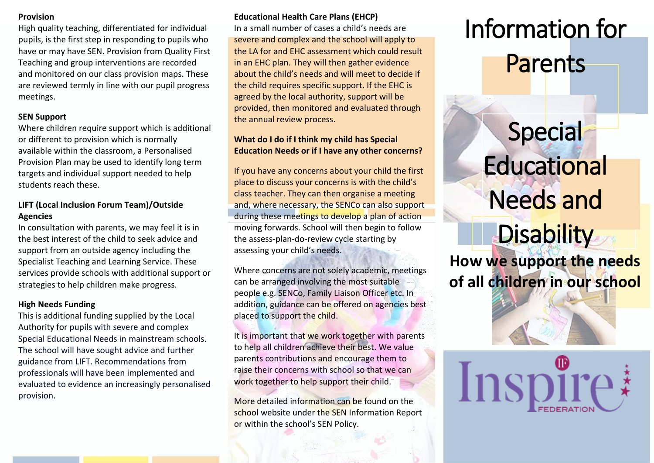### **Provision**

High quality teaching, differentiated for individual pupils, is the first step in responding to pupils who have or may have SEN. Provision from Quality First Teaching and group interventions are recorded and monitored on our class provision maps. These are reviewed termly in line with our pupil progress meetings.

# **SEN Support**

Where children require support which is additional or different to provision which is normally available within the classroom, a Personalised Provision Plan may be used to identify long term targets and individual support needed to help students reach these.

# **LIFT (Local Inclusion Forum Team)/Outside Agencies**

In consultation with parents, we may feel it is in the best interest of the child to seek advice and support from an outside agency including the Specialist Teaching and Learning Service. These services provide schools with additional support or strategies to help children make progress.

## **High Needs Funding**

This is additional funding supplied by the Local Authority for pupils with severe and complex Special Educational Needs in mainstream schools. The school will have sought advice and further guidance from LIFT. Recommendations from professionals will have been implemented and evaluated to evidence an increasingly personalised provision.

# **Educational Health Care Plans (EHCP)**

In a small number of cases a child's needs are severe and complex and the school will apply to the LA for and EHC assessment which could result in an EHC plan. They will then gather evidence about the child's needs and will meet to decide if the child requires specific support. If the EHC is agreed by the local authority, support will be provided, then monitored and evaluated through the annual review process.

# **What do I do if I think my child has Special Education Needs or if I have any other concerns?**

If you have any concerns about your child the first place to discuss your concerns is with the child's class teacher. They can then organise a meeting and, where necessary, the SENCo can also support during these meetings to develop a plan of action moving forwards. School will then begin to follow the assess-plan-do-review cycle starting by assessing your child's needs.

Where concerns are not solely academic, meetings can be arranged involving the most suitable people e.g. SENCo, Family Liaison Officer etc. In addition, guidance can be offered on agencies best placed to support the child.

It is important that we work together with parents to help all children achieve their best. We value parents contributions and encourage them to raise their concerns with school so that we can work together to help support their child.

More detailed information can be found on the school website under the SEN Information Report or within the school's SEN Policy.

# Information for Parents

# Special **Educational** Needs and

# **Disability**

**How we support the needs of all children in our school**